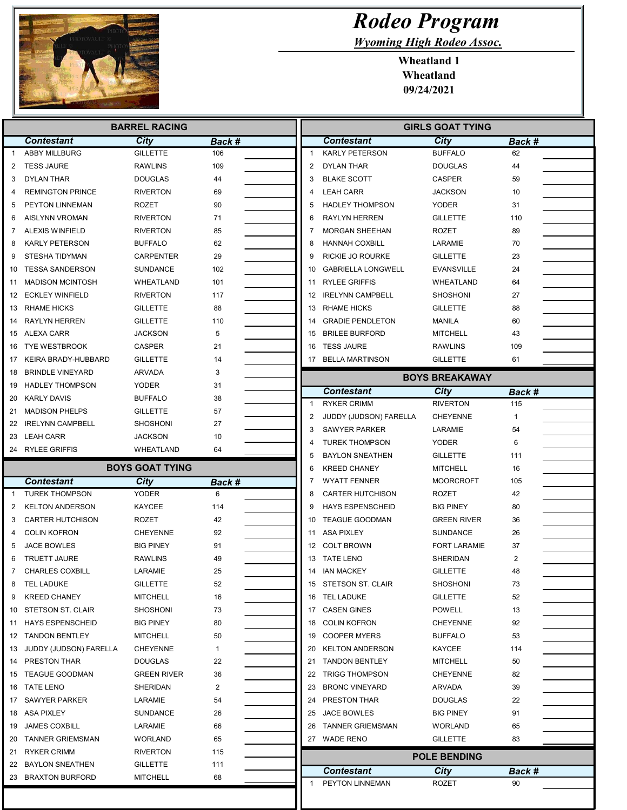

I F

## Rodeo Program

Wyoming High Rodeo Assoc.

Wheatland 1 Wheatland 09/24/2021

| <b>BARREL RACING</b> |                         |                        |                    |  | <b>GIRLS GOAT TYING</b>                                 |                         |               |  |  |
|----------------------|-------------------------|------------------------|--------------------|--|---------------------------------------------------------|-------------------------|---------------|--|--|
|                      | <b>Contestant</b>       | City                   | Back #             |  | <b>Contestant</b>                                       | City                    | Back #        |  |  |
| $\mathbf{1}$         | <b>ABBY MILLBURG</b>    | <b>GILLETTE</b>        | 106                |  | <b>KARLY PETERSON</b><br>$\mathbf{1}$                   | <b>BUFFALO</b>          | 62            |  |  |
| 2                    | <b>TESS JAURE</b>       | <b>RAWLINS</b>         | 109                |  | 2<br>DYLAN THAR                                         | <b>DOUGLAS</b>          | 44            |  |  |
| 3                    | <b>DYLAN THAR</b>       | <b>DOUGLAS</b>         | 44                 |  | 3<br><b>BLAKE SCOTT</b>                                 | <b>CASPER</b>           | 59            |  |  |
| 4                    | <b>REMINGTON PRINCE</b> | <b>RIVERTON</b>        | 69                 |  | <b>LEAH CARR</b><br>4                                   | JACKSON                 | 10            |  |  |
| 5                    | PEYTON LINNEMAN         | <b>ROZET</b>           | 90                 |  | 5<br><b>HADLEY THOMPSON</b>                             | <b>YODER</b>            | 31            |  |  |
| 6                    | AISLYNN VROMAN          | <b>RIVERTON</b>        | 71                 |  | <b>RAYLYN HERREN</b><br>6                               | <b>GILLETTE</b>         | 110           |  |  |
| 7                    | <b>ALEXIS WINFIELD</b>  | <b>RIVERTON</b>        | 85                 |  | <b>MORGAN SHEEHAN</b><br>7                              | ROZET                   | 89            |  |  |
| 8                    | <b>KARLY PETERSON</b>   | <b>BUFFALO</b>         | 62                 |  | <b>HANNAH COXBILL</b><br>8                              | LARAMIE                 | 70            |  |  |
| 9                    | STESHA TIDYMAN          | <b>CARPENTER</b>       | 29                 |  | 9<br><b>RICKIE JO ROURKE</b>                            | <b>GILLETTE</b>         | 23            |  |  |
| 10                   | <b>TESSA SANDERSON</b>  | <b>SUNDANCE</b>        | 102                |  | <b>GABRIELLA LONGWELL</b><br>10                         | <b>EVANSVILLE</b>       | 24            |  |  |
| 11                   | <b>MADISON MCINTOSH</b> | WHEATLAND              | 101                |  | <b>RYLEE GRIFFIS</b><br>11                              | WHEATLAND               | 64            |  |  |
|                      | 12 ECKLEY WINFIELD      | <b>RIVERTON</b>        | 117                |  | <b>IRELYNN CAMPBELL</b><br>12                           | SHOSHONI                | 27            |  |  |
| 13                   | RHAME HICKS             | <b>GILLETTE</b>        | 88                 |  | <b>RHAME HICKS</b><br>13                                | <b>GILLETTE</b>         | 88            |  |  |
| 14                   | <b>RAYLYN HERREN</b>    | <b>GILLETTE</b>        | 110                |  | <b>GRADIE PENDLETON</b><br>14                           | <b>MANILA</b>           | 60            |  |  |
|                      | 15 ALEXA CARR           | <b>JACKSON</b>         | 5                  |  | <b>BRILEE BURFORD</b><br>15                             | MITCHELL                | 43            |  |  |
| 16                   | <b>TYE WESTBROOK</b>    | CASPER                 | 21                 |  | 16 TESS JAURE                                           | <b>RAWLINS</b>          | 109           |  |  |
| 17                   | KEIRA BRADY-HUBBARD     | <b>GILLETTE</b>        | 14                 |  | 17 BELLA MARTINSON                                      | <b>GILLETTE</b>         | 61            |  |  |
| 18                   | <b>BRINDLE VINEYARD</b> | ARVADA                 | 3                  |  |                                                         | <b>BOYS BREAKAWAY</b>   |               |  |  |
| 19                   | <b>HADLEY THOMPSON</b>  | <b>YODER</b>           | 31                 |  |                                                         |                         |               |  |  |
|                      | 20 KARLY DAVIS          | <b>BUFFALO</b>         | 38                 |  | <b>Contestant</b><br>$\mathbf{1}$<br><b>RYKER CRIMM</b> | City<br><b>RIVERTON</b> | Back #<br>115 |  |  |
| 21                   | <b>MADISON PHELPS</b>   | <b>GILLETTE</b>        | 57                 |  | 2<br>JUDDY (JUDSON) FARELLA                             | <b>CHEYENNE</b>         | $\mathbf{1}$  |  |  |
| 22                   | <b>IRELYNN CAMPBELL</b> | <b>SHOSHONI</b>        | 27                 |  | 3<br><b>SAWYER PARKER</b>                               | LARAMIE                 | 54            |  |  |
|                      | 23 LEAH CARR            | <b>JACKSON</b>         | 10                 |  | <b>TUREK THOMPSON</b><br>4                              | <b>YODER</b>            | 6             |  |  |
|                      | 24 RYLEE GRIFFIS        | WHEATLAND              | 64                 |  | <b>BAYLON SNEATHEN</b><br>5                             | <b>GILLETTE</b>         | 111           |  |  |
|                      |                         | <b>BOYS GOAT TYING</b> |                    |  | 6<br><b>KREED CHANEY</b>                                | <b>MITCHELL</b>         | 16            |  |  |
|                      | <b>Contestant</b>       | City                   |                    |  | <b>WYATT FENNER</b><br>7                                | <b>MOORCROFT</b>        | 105           |  |  |
| -1                   | <b>TUREK THOMPSON</b>   | YODER                  | Back #<br>6        |  | <b>CARTER HUTCHISON</b><br>8                            | ROZET                   | 42            |  |  |
| 2                    | <b>KELTON ANDERSON</b>  | <b>KAYCEE</b>          | 114                |  | 9<br><b>HAYS ESPENSCHEID</b>                            | <b>BIG PINEY</b>        | 80            |  |  |
| 3                    | <b>CARTER HUTCHISON</b> | ROZET                  | 42                 |  | <b>TEAGUE GOODMAN</b><br>10                             | GREEN RIVER             | 36            |  |  |
| 4                    | <b>COLIN KOFRON</b>     | <b>CHEYENNE</b>        | 92                 |  | <b>ASA PIXLEY</b><br>11                                 | <b>SUNDANCE</b>         | 26            |  |  |
| 5                    | JACE BOWLES             | <b>BIG PINEY</b>       | 91                 |  | 12 COLT BROWN                                           | <b>FORT LARAMIE</b>     | 37            |  |  |
| 6                    | <b>TRUETT JAURE</b>     | <b>RAWLINS</b>         | 49                 |  | 13 TATE LENO                                            | SHERIDAN                | 2             |  |  |
| 7                    | <b>CHARLES COXBILL</b>  | LARAMIE                | 25                 |  | 14 IAN MACKEY                                           | <b>GILLETTE</b>         | 48            |  |  |
| 8                    | TEL LADUKE              | <b>GILLETTE</b>        | 52                 |  | 15 STETSON ST. CLAIR                                    | SHOSHONI                | 73            |  |  |
| 9                    | <b>KREED CHANEY</b>     | <b>MITCHELL</b>        | 16                 |  | 16 TEL LADUKE                                           | <b>GILLETTE</b>         | 52            |  |  |
| 10                   | STETSON ST. CLAIR       | <b>SHOSHONI</b>        | 73                 |  | 17 CASEN GINES                                          | <b>POWELL</b>           | 13            |  |  |
|                      | <b>HAYS ESPENSCHEID</b> | <b>BIG PINEY</b>       | 80                 |  | 18 COLIN KOFRON                                         | <b>CHEYENNE</b>         | 92            |  |  |
| 11                   | <b>TANDON BENTLEY</b>   | <b>MITCHELL</b>        |                    |  | <b>COOPER MYERS</b><br>19                               | <b>BUFFALO</b>          | 53            |  |  |
| 12<br>13             | JUDDY (JUDSON) FARELLA  | <b>CHEYENNE</b>        | 50<br>$\mathbf{1}$ |  | <b>KELTON ANDERSON</b><br>20                            | KAYCEE                  | 114           |  |  |
|                      | 14 PRESTON THAR         | <b>DOUGLAS</b>         | 22                 |  | 21 TANDON BENTLEY                                       | <b>MITCHELL</b>         | 50            |  |  |
|                      | 15 TEAGUE GOODMAN       | <b>GREEN RIVER</b>     | 36                 |  | 22 TRIGG THOMPSON                                       | <b>CHEYENNE</b>         | 82            |  |  |
|                      | 16 TATE LENO            | SHERIDAN               | 2                  |  | 23 BRONC VINEYARD                                       | ARVADA                  | 39            |  |  |
|                      | 17 SAWYER PARKER        | LARAMIE                | 54                 |  | PRESTON THAR<br>24                                      | <b>DOUGLAS</b>          | 22            |  |  |
|                      | 18 ASA PIXLEY           | SUNDANCE               | 26                 |  | 25 JACE BOWLES                                          | <b>BIG PINEY</b>        | 91            |  |  |
| 19                   | <b>JAMES COXBILL</b>    | LARAMIE                | 66                 |  | 26 TANNER GRIEMSMAN                                     | <b>WORLAND</b>          | 65            |  |  |
| 20                   | TANNER GRIEMSMAN        | <b>WORLAND</b>         | 65                 |  | 27 WADE RENO                                            | GILLETTE                | 83            |  |  |
| 21                   | <b>RYKER CRIMM</b>      | <b>RIVERTON</b>        | 115                |  |                                                         |                         |               |  |  |
|                      | 22 BAYLON SNEATHEN      | <b>GILLETTE</b>        | 111                |  |                                                         | <b>POLE BENDING</b>     |               |  |  |
|                      | 23 BRAXTON BURFORD      | <b>MITCHELL</b>        | 68                 |  | <b>Contestant</b>                                       | City                    | Back #        |  |  |
|                      |                         |                        |                    |  | PEYTON LINNEMAN<br>1                                    | ROZET                   | 90            |  |  |
|                      |                         |                        |                    |  |                                                         |                         |               |  |  |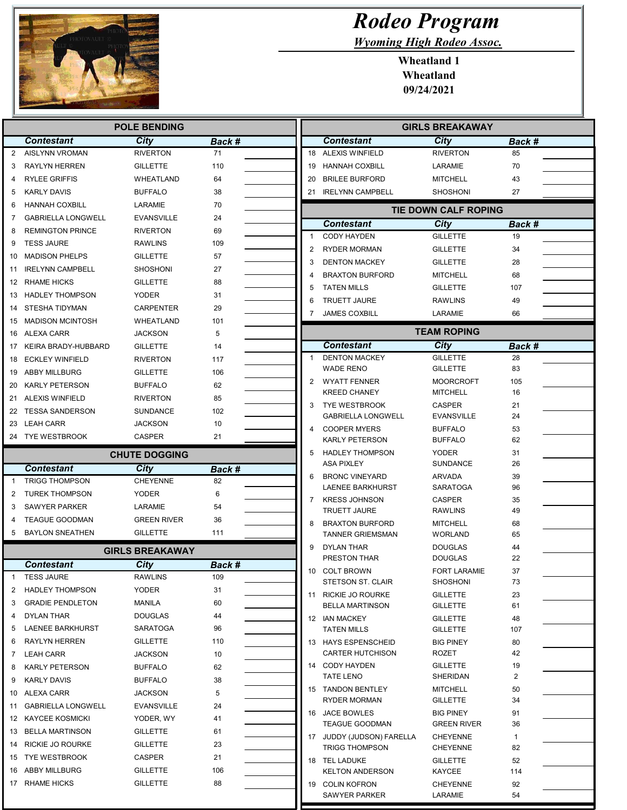

Г

## Rodeo Program

Wyoming High Rodeo Assoc.

Wheatland 1 Wheatland 09/24/2021

|                        | <b>POLE BENDING</b>       |                      |        |  | <b>GIRLS BREAKAWAY</b> |                                                   |                                    |                |  |
|------------------------|---------------------------|----------------------|--------|--|------------------------|---------------------------------------------------|------------------------------------|----------------|--|
|                        | <b>Contestant</b>         | <b>City</b>          | Back # |  |                        | <b>Contestant</b>                                 | <b>City</b>                        | Back #         |  |
| $\overline{2}$         | <b>AISLYNN VROMAN</b>     | <b>RIVERTON</b>      | 71     |  |                        | 18 ALEXIS WINFIELD                                | <b>RIVERTON</b>                    | 85             |  |
| 3                      | <b>RAYLYN HERREN</b>      | <b>GILLETTE</b>      | 110    |  | 19                     | HANNAH COXBILL                                    | LARAMIE                            | 70             |  |
| 4                      | <b>RYLEE GRIFFIS</b>      | WHEATLAND            | 64     |  | 20                     | <b>BRILEE BURFORD</b>                             | <b>MITCHELL</b>                    | 43             |  |
| 5                      | <b>KARLY DAVIS</b>        | <b>BUFFALO</b>       | 38     |  |                        | 21 IRELYNN CAMPBELL                               | <b>SHOSHONI</b>                    | 27             |  |
| 6                      | <b>HANNAH COXBILL</b>     | LARAMIE              | 70     |  |                        |                                                   | TIE DOWN CALF ROPING               |                |  |
| 7                      | <b>GABRIELLA LONGWELL</b> | <b>EVANSVILLE</b>    | 24     |  |                        | <b>Contestant</b>                                 | City                               | Back #         |  |
| 8                      | <b>REMINGTON PRINCE</b>   | <b>RIVERTON</b>      | 69     |  | -1                     | <b>CODY HAYDEN</b>                                | <b>GILLETTE</b>                    | 19             |  |
| 9                      | <b>TESS JAURE</b>         | <b>RAWLINS</b>       | 109    |  | $\overline{2}$         | <b>RYDER MORMAN</b>                               | <b>GILLETTE</b>                    | 34             |  |
| 10                     | <b>MADISON PHELPS</b>     | <b>GILLETTE</b>      | 57     |  | 3                      | <b>DENTON MACKEY</b>                              | <b>GILLETTE</b>                    | 28             |  |
| 11                     | <b>IRELYNN CAMPBELL</b>   | <b>SHOSHONI</b>      | 27     |  | 4                      | <b>BRAXTON BURFORD</b>                            | <b>MITCHELL</b>                    | 68             |  |
|                        | 12 RHAME HICKS            | <b>GILLETTE</b>      | 88     |  | 5                      | <b>TATEN MILLS</b>                                | <b>GILLETTE</b>                    | 107            |  |
| 13                     | <b>HADLEY THOMPSON</b>    | <b>YODER</b>         | 31     |  | 6                      | <b>TRUETT JAURE</b>                               | <b>RAWLINS</b>                     | 49             |  |
| 14                     | STESHA TIDYMAN            | <b>CARPENTER</b>     | 29     |  | 7                      | <b>JAMES COXBILL</b>                              | LARAMIE                            | 66             |  |
| 15                     | <b>MADISON MCINTOSH</b>   | WHEATLAND            | 101    |  |                        |                                                   |                                    |                |  |
| 16                     | ALEXA CARR                | <b>JACKSON</b>       | 5      |  |                        |                                                   | <b>TEAM ROPING</b>                 |                |  |
|                        | 17 KEIRA BRADY-HUBBARD    | <b>GILLETTE</b>      | 14     |  |                        | <b>Contestant</b>                                 | City                               | Back #         |  |
| 18                     | <b>ECKLEY WINFIELD</b>    | <b>RIVERTON</b>      | 117    |  | $\mathbf{1}$           | <b>DENTON MACKEY</b>                              | <b>GILLETTE</b>                    | 28             |  |
|                        | 19 ABBY MILLBURG          | <b>GILLETTE</b>      | 106    |  |                        | <b>WADE RENO</b>                                  | <b>GILLETTE</b>                    | 83             |  |
| 20                     | KARLY PETERSON            | <b>BUFFALO</b>       | 62     |  | 2                      | <b>WYATT FENNER</b>                               | <b>MOORCROFT</b>                   | 105            |  |
|                        | 21 ALEXIS WINFIELD        | <b>RIVERTON</b>      | 85     |  |                        | <b>KREED CHANEY</b>                               | <b>MITCHELL</b>                    | 16             |  |
|                        | 22 TESSA SANDERSON        | <b>SUNDANCE</b>      | 102    |  | 3                      | <b>TYE WESTBROOK</b><br><b>GABRIELLA LONGWELL</b> | <b>CASPER</b><br><b>EVANSVILLE</b> | 21<br>24       |  |
|                        | 23 LEAH CARR              | <b>JACKSON</b>       | 10     |  | 4                      | <b>COOPER MYERS</b>                               | <b>BUFFALO</b>                     | 53             |  |
|                        | 24 TYE WESTBROOK          | CASPER               | 21     |  |                        | <b>KARLY PETERSON</b>                             | <b>BUFFALO</b>                     | 62             |  |
|                        |                           | <b>CHUTE DOGGING</b> |        |  | 5                      | <b>HADLEY THOMPSON</b>                            | <b>YODER</b>                       | 31             |  |
|                        | <b>Contestant</b>         | City                 | Back # |  |                        | <b>ASA PIXLEY</b>                                 | <b>SUNDANCE</b>                    | 26             |  |
| $\overline{1}$         | <b>TRIGG THOMPSON</b>     | <b>CHEYENNE</b>      | 82     |  | 6                      | <b>BRONC VINEYARD</b>                             | <b>ARVADA</b>                      | 39             |  |
| 2                      | <b>TUREK THOMPSON</b>     | <b>YODER</b>         | 6      |  |                        | LAENEE BARKHURST                                  | <b>SARATOGA</b>                    | 96             |  |
| 3                      | <b>SAWYER PARKER</b>      | LARAMIE              | 54     |  | 7                      | <b>KRESS JOHNSON</b>                              | <b>CASPER</b>                      | 35             |  |
| 4                      | <b>TEAGUE GOODMAN</b>     | <b>GREEN RIVER</b>   | 36     |  |                        | <b>TRUETT JAURE</b>                               | <b>RAWLINS</b>                     | 49             |  |
| 5                      | <b>BAYLON SNEATHEN</b>    | <b>GILLETTE</b>      | 111    |  | 8                      | <b>BRAXTON BURFORD</b>                            | <b>MITCHELL</b>                    | 68             |  |
|                        |                           |                      |        |  |                        | <b>TANNER GRIEMSMAN</b>                           | <b>WORLAND</b>                     | 65             |  |
| <b>GIRLS BREAKAWAY</b> |                           |                      |        |  | 9                      | DYLAN THAR<br>PRESTON THAR                        | <b>DOUGLAS</b><br><b>DOUGLAS</b>   | 44<br>22       |  |
|                        | <b>Contestant</b>         | City                 | Back # |  | 10                     | COLT BROWN                                        | <b>FORT LARAMIE</b>                | 37             |  |
|                        | <b>TESS JAURE</b>         | <b>RAWLINS</b>       | 109    |  |                        | <b>STETSON ST. CLAIR</b>                          | <b>SHOSHONI</b>                    | 73             |  |
| 2                      | HADLEY THOMPSON           | YODER                | 31     |  |                        | 11 RICKIE JO ROURKE                               | <b>GILLETTE</b>                    | 23             |  |
| 3                      | <b>GRADIE PENDLETON</b>   | MANILA               | 60     |  |                        | <b>BELLA MARTINSON</b>                            | <b>GILLETTE</b>                    | 61             |  |
| 4                      | DYLAN THAR                | <b>DOUGLAS</b>       | 44     |  |                        | 12 IAN MACKEY                                     | <b>GILLETTE</b>                    | 48             |  |
| 5                      | <b>LAENEE BARKHURST</b>   | SARATOGA             | 96     |  |                        | <b>TATEN MILLS</b>                                | <b>GILLETTE</b>                    | 107            |  |
| 6                      | RAYLYN HERREN             | <b>GILLETTE</b>      | 110    |  |                        | 13 HAYS ESPENSCHEID                               | <b>BIG PINEY</b>                   | 80             |  |
| 7                      | LEAH CARR                 | JACKSON              | 10     |  |                        | CARTER HUTCHISON                                  | ROZET                              | 42             |  |
| 8                      | <b>KARLY PETERSON</b>     | <b>BUFFALO</b>       | 62     |  |                        | 14 CODY HAYDEN                                    | <b>GILLETTE</b>                    | 19             |  |
| 9                      | <b>KARLY DAVIS</b>        | <b>BUFFALO</b>       | 38     |  |                        | <b>TATE LENO</b>                                  | SHERIDAN                           | $\overline{c}$ |  |
|                        | 10 ALEXA CARR             | <b>JACKSON</b>       | 5      |  |                        | 15 TANDON BENTLEY<br><b>RYDER MORMAN</b>          | <b>MITCHELL</b><br><b>GILLETTE</b> | 50<br>34       |  |
|                        | 11 GABRIELLA LONGWELL     | <b>EVANSVILLE</b>    | 24     |  |                        | 16 JACE BOWLES                                    | <b>BIG PINEY</b>                   | 91             |  |
|                        | 12 KAYCEE KOSMICKI        | YODER, WY            | 41     |  |                        | <b>TEAGUE GOODMAN</b>                             | <b>GREEN RIVER</b>                 | 36             |  |
|                        | 13 BELLA MARTINSON        | <b>GILLETTE</b>      | 61     |  |                        | 17 JUDDY (JUDSON) FARELLA                         | <b>CHEYENNE</b>                    |                |  |
| 14                     | RICKIE JO ROURKE          | <b>GILLETTE</b>      | 23     |  |                        | <b>TRIGG THOMPSON</b>                             | <b>CHEYENNE</b>                    | 82             |  |
|                        | 15 TYE WESTBROOK          | CASPER               | 21     |  |                        | 18 TEL LADUKE                                     | <b>GILLETTE</b>                    | 52             |  |
|                        | 16 ABBY MILLBURG          | <b>GILLETTE</b>      | 106    |  |                        | <b>KELTON ANDERSON</b>                            | KAYCEE                             | 114            |  |
|                        | 17 RHAME HICKS            | <b>GILLETTE</b>      | 88     |  |                        | 19 COLIN KOFRON                                   | <b>CHEYENNE</b>                    | 92             |  |
|                        |                           |                      |        |  |                        | SAWYER PARKER                                     | LARAMIE                            | 54             |  |